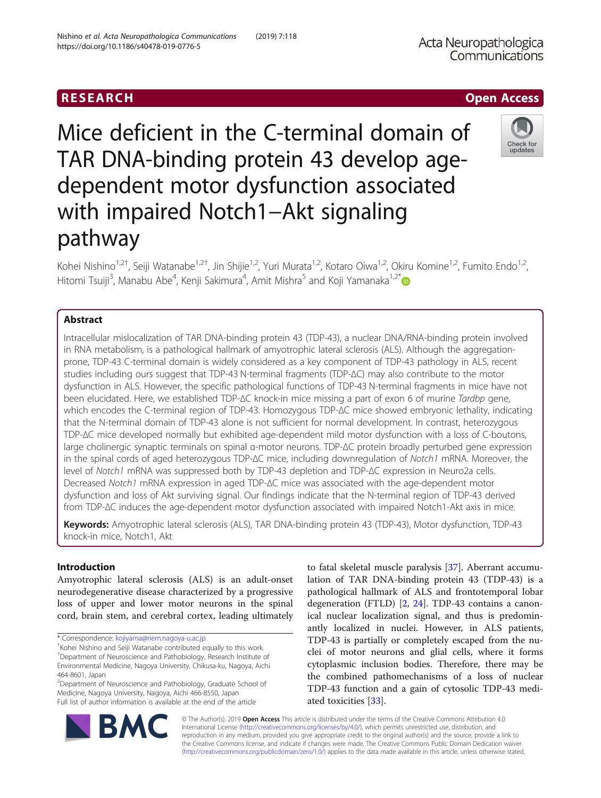Mice deficient in the C-terminal domain of TAR DNA-binding protein 43 develop agedependent motor dysfunction associated with impaired Notch1–Akt signaling pathway

Kohei Nishino<sup>1,2†</sup>, Seiji Watanabe<sup>1,2†</sup>, Jin Shijie<sup>1,2</sup>, Yuri Murata<sup>1,2</sup>, Kotaro Oiwa<sup>1,2</sup>, Okiru Komine<sup>1,2</sup>, Fumito Endo<sup>1,2</sup> , Hitomi Tsuiji<sup>3</sup>, Manabu Abe<sup>4</sup>, Kenji Sakimura<sup>4</sup>, Amit Mishra<sup>5</sup> and Koji Yamanaka<sup>1,2\*</sup>

# Abstract

Intracellular mislocalization of TAR DNA-binding protein 43 (TDP-43), a nuclear DNA/RNA-binding protein involved in RNA metabolism, is a pathological hallmark of amyotrophic lateral sclerosis (ALS). Although the aggregationprone, TDP-43 C-terminal domain is widely considered as a key component of TDP-43 pathology in ALS, recent studies including ours suggest that TDP-43 N-terminal fragments (TDP-∆C) may also contribute to the motor dysfunction in ALS. However, the specific pathological functions of TDP-43 N-terminal fragments in mice have not been elucidated. Here, we established TDP-∆C knock-in mice missing a part of exon 6 of murine Tardbp gene, which encodes the C-terminal region of TDP-43. Homozygous TDP-∆C mice showed embryonic lethality, indicating that the N-terminal domain of TDP-43 alone is not sufficient for normal development. In contrast, heterozygous TDP-∆C mice developed normally but exhibited age-dependent mild motor dysfunction with a loss of C-boutons, large cholinergic synaptic terminals on spinal α-motor neurons. TDP-∆C protein broadly perturbed gene expression in the spinal cords of aged heterozygous TDP-∆C mice, including downregulation of Notch1 mRNA. Moreover, the level of Notch1 mRNA was suppressed both by TDP-43 depletion and TDP-∆C expression in Neuro2a cells. Decreased Notch1 mRNA expression in aged TDP-∆C mice was associated with the age-dependent motor dysfunction and loss of Akt surviving signal. Our findings indicate that the N-terminal region of TDP-43 derived from TDP-∆C induces the age-dependent motor dysfunction associated with impaired Notch1-Akt axis in mice.

Keywords: Amyotrophic lateral sclerosis (ALS), TAR DNA-binding protein 43 (TDP-43), Motor dysfunction, TDP-43 knock-in mice, Notch1, Akt

# Introduction

Amyotrophic lateral sclerosis (ALS) is an adult-onset neurodegenerative disease characterized by a progressive loss of upper and lower motor neurons in the spinal cord, brain stem, and cerebral cortex, leading ultimately

\* Correspondence: [kojiyama@riem.nagoya-u.ac.jp](mailto:kojiyama@riem.nagoya-u.ac.jp)

† Kohei Nishino and Seiji Watanabe contributed equally to this work. <sup>1</sup>Department of Neuroscience and Pathobiology, Research Institute of Environmental Medicine, Nagoya University, Chikusa-ku, Nagoya, Aichi 464-8601, Japan

<sup>2</sup>Department of Neuroscience and Pathobiology, Graduate School of Medicine, Nagoya University, Nagoya, Aichi 466-8550, Japan Full list of author information is available at the end of the article

to fatal skeletal muscle paralysis [\[37](#page-13-0)]. Aberrant accumulation of TAR DNA-binding protein 43 (TDP-43) is a pathological hallmark of ALS and frontotemporal lobar degeneration (FTLD) [[2,](#page-12-0) [24](#page-13-0)]. TDP-43 contains a canonical nuclear localization signal, and thus is predominantly localized in nuclei. However, in ALS patients, TDP-43 is partially or completely escaped from the nuclei of motor neurons and glial cells, where it forms cytoplasmic inclusion bodies. Therefore, there may be the combined pathomechanisms of a loss of nuclear TDP-43 function and a gain of cytosolic TDP-43 mediated toxicities [\[33](#page-13-0)].

© The Author(s). 2019 Open Access This article is distributed under the terms of the Creative Commons Attribution 4.0 International License [\(http://creativecommons.org/licenses/by/4.0/](http://creativecommons.org/licenses/by/4.0/)), which permits unrestricted use, distribution, and reproduction in any medium, provided you give appropriate credit to the original author(s) and the source, provide a link to the Creative Commons license, and indicate if changes were made. The Creative Commons Public Domain Dedication waiver [\(http://creativecommons.org/publicdomain/zero/1.0/](http://creativecommons.org/publicdomain/zero/1.0/)) applies to the data made available in this article, unless otherwise stated.





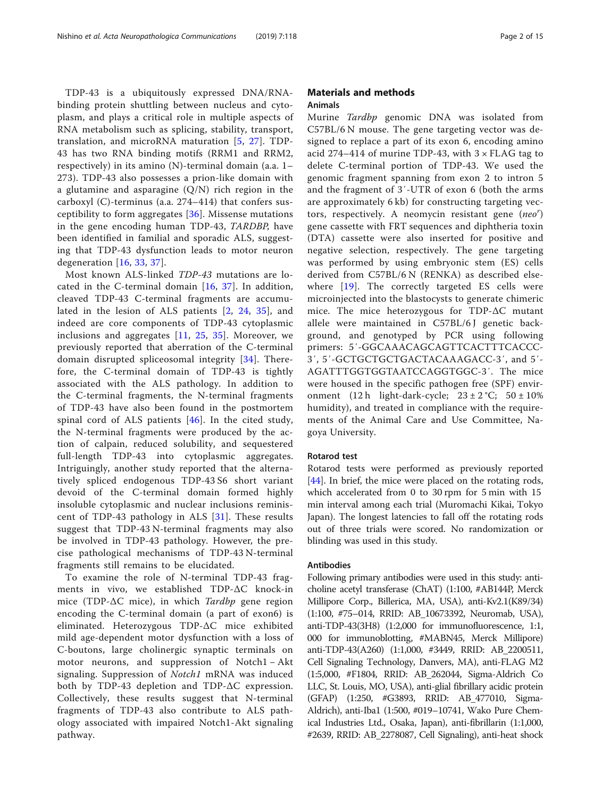TDP-43 is a ubiquitously expressed DNA/RNAbinding protein shuttling between nucleus and cytoplasm, and plays a critical role in multiple aspects of RNA metabolism such as splicing, stability, transport, translation, and microRNA maturation [[5](#page-12-0), [27](#page-13-0)]. TDP-43 has two RNA binding motifs (RRM1 and RRM2, respectively) in its amino (N)-terminal domain (a.a. 1– 273). TDP-43 also possesses a prion-like domain with a glutamine and asparagine  $(Q/N)$  rich region in the carboxyl (C)-terminus (a.a. 274–414) that confers susceptibility to form aggregates [\[36\]](#page-13-0). Missense mutations in the gene encoding human TDP-43, TARDBP, have been identified in familial and sporadic ALS, suggesting that TDP-43 dysfunction leads to motor neuron degeneration [[16](#page-13-0), [33,](#page-13-0) [37](#page-13-0)].

Most known ALS-linked TDP-43 mutations are located in the C-terminal domain  $[16, 37]$  $[16, 37]$  $[16, 37]$  $[16, 37]$ . In addition, cleaved TDP-43 C-terminal fragments are accumulated in the lesion of ALS patients [[2,](#page-12-0) [24,](#page-13-0) [35](#page-13-0)], and indeed are core components of TDP-43 cytoplasmic inclusions and aggregates [[11,](#page-13-0) [25,](#page-13-0) [35](#page-13-0)]. Moreover, we previously reported that aberration of the C-terminal domain disrupted spliceosomal integrity [\[34](#page-13-0)]. Therefore, the C-terminal domain of TDP-43 is tightly associated with the ALS pathology. In addition to the C-terminal fragments, the N-terminal fragments of TDP-43 have also been found in the postmortem spinal cord of ALS patients [[46\]](#page-13-0). In the cited study, the N-terminal fragments were produced by the action of calpain, reduced solubility, and sequestered full-length TDP-43 into cytoplasmic aggregates. Intriguingly, another study reported that the alternatively spliced endogenous TDP-43 S6 short variant devoid of the C-terminal domain formed highly insoluble cytoplasmic and nuclear inclusions reminiscent of TDP-43 pathology in ALS [[31](#page-13-0)]. These results suggest that TDP-43 N-terminal fragments may also be involved in TDP-43 pathology. However, the precise pathological mechanisms of TDP-43 N-terminal fragments still remains to be elucidated.

To examine the role of N-terminal TDP-43 fragments in vivo, we established TDP-ΔC knock-in mice (TDP- $\Delta C$  mice), in which Tardbp gene region encoding the C-terminal domain (a part of exon6) is eliminated. Heterozygous TDP-ΔC mice exhibited mild age-dependent motor dysfunction with a loss of C-boutons, large cholinergic synaptic terminals on motor neurons, and suppression of Notch1 − Akt signaling. Suppression of *Notch1* mRNA was induced both by TDP-43 depletion and TDP-ΔC expression. Collectively, these results suggest that N-terminal fragments of TDP-43 also contribute to ALS pathology associated with impaired Notch1-Akt signaling pathway.

## Materials and methods Animals

Murine Tardbp genomic DNA was isolated from C57BL/6 N mouse. The gene targeting vector was designed to replace a part of its exon 6, encoding amino acid 274–414 of murine TDP-43, with  $3 \times$  FLAG tag to delete C-terminal portion of TDP-43. We used the genomic fragment spanning from exon 2 to intron 5 and the fragment of 3′-UTR of exon 6 (both the arms are approximately 6 kb) for constructing targeting vectors, respectively. A neomycin resistant gene (neo') gene cassette with FRT sequences and diphtheria toxin (DTA) cassette were also inserted for positive and negative selection, respectively. The gene targeting was performed by using embryonic stem (ES) cells derived from C57BL/6 N (RENKA) as described elsewhere [[19](#page-13-0)]. The correctly targeted ES cells were microinjected into the blastocysts to generate chimeric mice. The mice heterozygous for TDP-ΔC mutant allele were maintained in C57BL/6J genetic background, and genotyped by PCR using following primers: 5′-GGCAAACAGCAGTTCACTTTCACCC-3′, 5′-GCTGCTGCTGACTACAAAGACC-3′, and 5′- AGATTTGGTGGTAATCCAGGTGGC-3′. The mice were housed in the specific pathogen free (SPF) environment  $(12 h$  light-dark-cycle;  $23 \pm 2$  °C;  $50 \pm 10$ % humidity), and treated in compliance with the requirements of the Animal Care and Use Committee, Nagoya University.

## Rotarod test

Rotarod tests were performed as previously reported [[44\]](#page-13-0). In brief, the mice were placed on the rotating rods, which accelerated from 0 to 30 rpm for 5 min with 15 min interval among each trial (Muromachi Kikai, Tokyo Japan). The longest latencies to fall off the rotating rods out of three trials were scored. No randomization or blinding was used in this study.

#### Antibodies

Following primary antibodies were used in this study: anticholine acetyl transferase (ChAT) (1:100, #AB144P, Merck Millipore Corp., Billerica, MA, USA), anti-Kv2.1(K89/34) (1:100, #75–014, RRID: AB\_10673392, Neuromab, USA), anti-TDP-43(3H8) (1:2,000 for immunofluorescence, 1:1, 000 for immunoblotting, #MABN45, Merck Millipore) anti-TDP-43(A260) (1:1,000, #3449, RRID: AB\_2200511, Cell Signaling Technology, Danvers, MA), anti-FLAG M2 (1:5,000, #F1804, RRID: AB\_262044, Sigma-Aldrich Co LLC, St. Louis, MO, USA), anti-glial fibrillary acidic protein (GFAP) (1:250, #G3893, RRID: AB\_477010, Sigma-Aldrich), anti-Iba1 (1:500, #019–10741, Wako Pure Chemical Industries Ltd., Osaka, Japan), anti-fibrillarin (1:1,000, #2639, RRID: AB\_2278087, Cell Signaling), anti-heat shock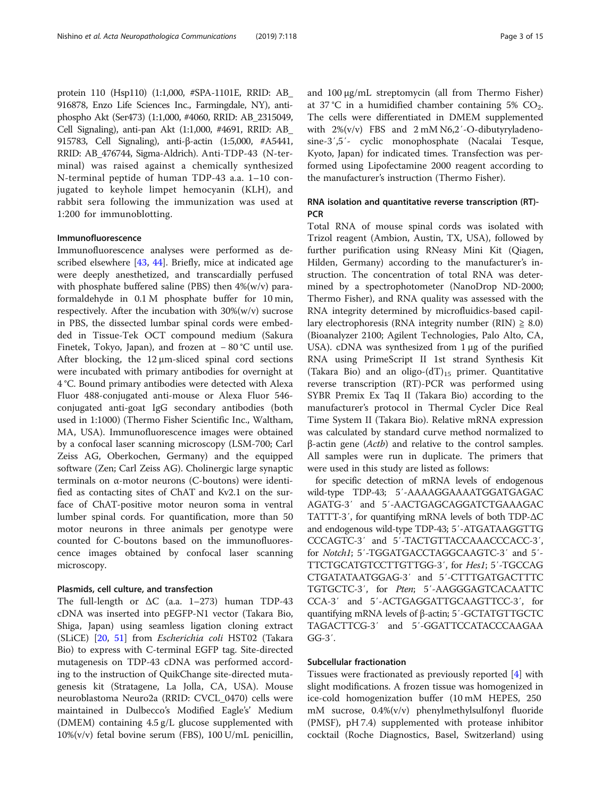protein 110 (Hsp110) (1:1,000, #SPA-1101E, RRID: AB\_ 916878, Enzo Life Sciences Inc., Farmingdale, NY), antiphospho Akt (Ser473) (1:1,000, #4060, RRID: AB\_2315049, Cell Signaling), anti-pan Akt (1:1,000, #4691, RRID: AB\_ 915783, Cell Signaling), anti-β-actin (1:5,000, #A5441, RRID: AB\_476744, Sigma-Aldrich). Anti-TDP-43 (N-terminal) was raised against a chemically synthesized N-terminal peptide of human TDP-43 a.a. 1–10 conjugated to keyhole limpet hemocyanin (KLH), and rabbit sera following the immunization was used at 1:200 for immunoblotting.

## Immunofluorescence

Immunofluorescence analyses were performed as described elsewhere [[43,](#page-13-0) [44](#page-13-0)]. Briefly, mice at indicated age were deeply anesthetized, and transcardially perfused with phosphate buffered saline (PBS) then  $4\%$ (w/v) paraformaldehyde in 0.1 M phosphate buffer for 10 min, respectively. After the incubation with  $30\%$ (w/v) sucrose in PBS, the dissected lumbar spinal cords were embedded in Tissue-Tek OCT compound medium (Sakura Finetek, Tokyo, Japan), and frozen at − 80 °C until use. After blocking, the 12 μm-sliced spinal cord sections were incubated with primary antibodies for overnight at 4 °C. Bound primary antibodies were detected with Alexa Fluor 488-conjugated anti-mouse or Alexa Fluor 546 conjugated anti-goat IgG secondary antibodies (both used in 1:1000) (Thermo Fisher Scientific Inc., Waltham, MA, USA). Immunofluorescence images were obtained by a confocal laser scanning microscopy (LSM-700; Carl Zeiss AG, Oberkochen, Germany) and the equipped software (Zen; Carl Zeiss AG). Cholinergic large synaptic terminals on α-motor neurons (C-boutons) were identified as contacting sites of ChAT and Kv2.1 on the surface of ChAT-positive motor neuron soma in ventral lumber spinal cords. For quantification, more than 50 motor neurons in three animals per genotype were counted for C-boutons based on the immunofluorescence images obtained by confocal laser scanning microscopy.

#### Plasmids, cell culture, and transfection

The full-length or ΔC (a.a. 1–273) human TDP-43 cDNA was inserted into pEGFP-N1 vector (Takara Bio, Shiga, Japan) using seamless ligation cloning extract (SLiCE) [\[20](#page-13-0), [51](#page-14-0)] from Escherichia coli HST02 (Takara Bio) to express with C-terminal EGFP tag. Site-directed mutagenesis on TDP-43 cDNA was performed according to the instruction of QuikChange site-directed mutagenesis kit (Stratagene, La Jolla, CA, USA). Mouse neuroblastoma Neuro2a (RRID: CVCL\_0470) cells were maintained in Dulbecco's Modified Eagle's' Medium (DMEM) containing 4.5 g/L glucose supplemented with 10%(v/v) fetal bovine serum (FBS), 100 U/mL penicillin, and 100 μg/mL streptomycin (all from Thermo Fisher) at 37 °C in a humidified chamber containing 5%  $CO<sub>2</sub>$ . The cells were differentiated in DMEM supplemented with  $2\% (v/v)$  FBS and  $2 \text{ mM } N6,2/-O$ -dibutyryladenosine-3′,5′- cyclic monophosphate (Nacalai Tesque, Kyoto, Japan) for indicated times. Transfection was performed using Lipofectamine 2000 reagent according to the manufacturer's instruction (Thermo Fisher).

# RNA isolation and quantitative reverse transcription (RT)- **PCR**

Total RNA of mouse spinal cords was isolated with Trizol reagent (Ambion, Austin, TX, USA), followed by further purification using RNeasy Mini Kit (Qiagen, Hilden, Germany) according to the manufacturer's instruction. The concentration of total RNA was determined by a spectrophotometer (NanoDrop ND-2000; Thermo Fisher), and RNA quality was assessed with the RNA integrity determined by microfluidics-based capillary electrophoresis (RNA integrity number (RIN)  $\geq$  8.0) (Bioanalyzer 2100; Agilent Technologies, Palo Alto, CA, USA). cDNA was synthesized from 1 μg of the purified RNA using PrimeScript II 1st strand Synthesis Kit (Takara Bio) and an oligo- $(dT)_{15}$  primer. Quantitative reverse transcription (RT)-PCR was performed using SYBR Premix Ex Taq II (Takara Bio) according to the manufacturer's protocol in Thermal Cycler Dice Real Time System II (Takara Bio). Relative mRNA expression was calculated by standard curve method normalized to β-actin gene (Actb) and relative to the control samples. All samples were run in duplicate. The primers that were used in this study are listed as follows:

for specific detection of mRNA levels of endogenous wild-type TDP-43; 5′-AAAAGGAAAATGGATGAGAC AGATG-3′ and 5′-AACTGAGCAGGATCTGAAAGAC TATTT-3′, for quantifying mRNA levels of both TDP-ΔC and endogenous wild-type TDP-43; 5′-ATGATAAGGTTG CCCAGTC-3′ and 5′-TACTGTTACCAAACCCACC-3′, for Notch1; 5′-TGGATGACCTAGGCAAGTC-3′ and 5′- TTCTGCATGTCCTTGTTGG-3′, for Hes1; 5′-TGCCAG CTGATATAATGGAG-3′ and 5′-CTTTGATGACTTTC TGTGCTC-3′, for Pten; 5′-AAGGGAGTCACAATTC CCA-3′ and 5′-ACTGAGGATTGCAAGTTCC-3′, for quantifying mRNA levels of β-actin; 5′-GCTATGTTGCTC TAGACTTCG-3′ and 5′-GGATTCCATACCCAAGAA GG-3′.

#### Subcellular fractionation

Tissues were fractionated as previously reported [\[4](#page-12-0)] with slight modifications. A frozen tissue was homogenized in ice-cold homogenization buffer (10 mM HEPES, 250 mM sucrose, 0.4%(v/v) phenylmethylsulfonyl fluoride (PMSF), pH 7.4) supplemented with protease inhibitor cocktail (Roche Diagnostics, Basel, Switzerland) using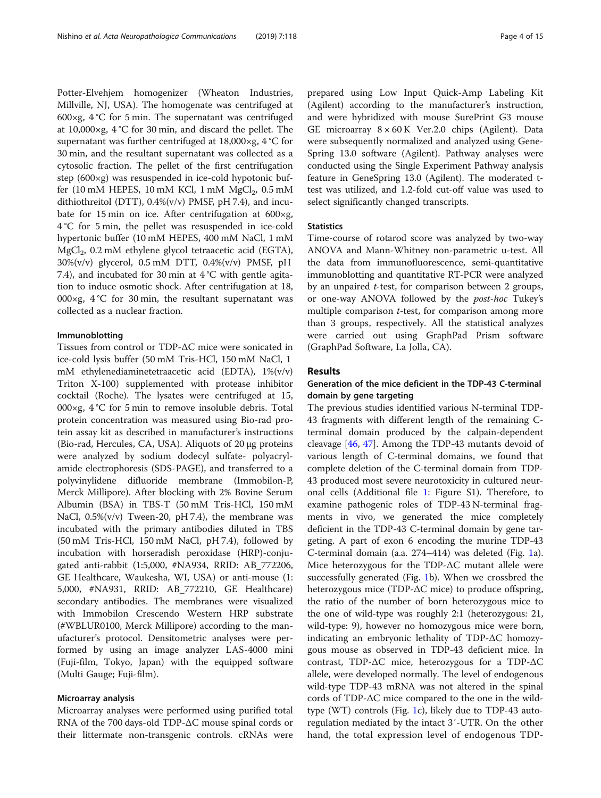Potter-Elvehjem homogenizer (Wheaton Industries, Millville, NJ, USA). The homogenate was centrifuged at 600×g,  $4^{\circ}$ C for 5 min. The supernatant was centrifuged at 10,000×g, 4 °C for 30 min, and discard the pellet. The supernatant was further centrifuged at 18,000×g, 4 °C for 30 min, and the resultant supernatant was collected as a cytosolic fraction. The pellet of the first centrifugation step (600×g) was resuspended in ice-cold hypotonic buffer (10 mM HEPES, 10 mM KCl, 1 mM  $MgCl<sub>2</sub>$ , 0.5 mM dithiothreitol (DTT), 0.4%(v/v) PMSF, pH 7.4), and incubate for 15 min on ice. After centrifugation at 600×g, 4 °C for 5 min, the pellet was resuspended in ice-cold hypertonic buffer (10 mM HEPES, 400 mM NaCl, 1 mM MgCl<sub>2</sub>, 0.2 mM ethylene glycol tetraacetic acid (EGTA), 30%(v/v) glycerol, 0.5 mM DTT, 0.4%(v/v) PMSF, pH 7.4), and incubated for 30 min at 4 °C with gentle agitation to induce osmotic shock. After centrifugation at 18, 000×g,  $4^{\circ}$ C for 30 min, the resultant supernatant was collected as a nuclear fraction.

## Immunoblotting

Tissues from control or TDP-ΔC mice were sonicated in ice-cold lysis buffer (50 mM Tris-HCl, 150 mM NaCl, 1 mM ethylenediaminetetraacetic acid (EDTA), 1%(v/v) Triton X-100) supplemented with protease inhibitor cocktail (Roche). The lysates were centrifuged at 15, 000 $\times$ g, 4 °C for 5 min to remove insoluble debris. Total protein concentration was measured using Bio-rad protein assay kit as described in manufacturer's instructions (Bio-rad, Hercules, CA, USA). Aliquots of 20 μg proteins were analyzed by sodium dodecyl sulfate- polyacrylamide electrophoresis (SDS-PAGE), and transferred to a polyvinylidene difluoride membrane (Immobilon-P, Merck Millipore). After blocking with 2% Bovine Serum Albumin (BSA) in TBS-T (50 mM Tris-HCl, 150 mM NaCl, 0.5%(v/v) Tween-20, pH 7.4), the membrane was incubated with the primary antibodies diluted in TBS (50 mM Tris-HCl, 150 mM NaCl, pH 7.4), followed by incubation with horseradish peroxidase (HRP)-conjugated anti-rabbit (1:5,000, #NA934, RRID: AB\_772206, GE Healthcare, Waukesha, WI, USA) or anti-mouse (1: 5,000, #NA931, RRID: AB\_772210, GE Healthcare) secondary antibodies. The membranes were visualized with Immobilon Crescendo Western HRP substrate (#WBLUR0100, Merck Millipore) according to the manufacturer's protocol. Densitometric analyses were performed by using an image analyzer LAS-4000 mini (Fuji-film, Tokyo, Japan) with the equipped software (Multi Gauge; Fuji-film).

## Microarray analysis

Microarray analyses were performed using purified total RNA of the 700 days-old TDP-ΔC mouse spinal cords or their littermate non-transgenic controls. cRNAs were prepared using Low Input Quick-Amp Labeling Kit (Agilent) according to the manufacturer's instruction, and were hybridized with mouse SurePrint G3 mouse GE microarray  $8 \times 60$  K Ver.2.0 chips (Agilent). Data were subsequently normalized and analyzed using Gene-Spring 13.0 software (Agilent). Pathway analyses were conducted using the Single Experiment Pathway analysis feature in GeneSpring 13.0 (Agilent). The moderated ttest was utilized, and 1.2-fold cut-off value was used to select significantly changed transcripts.

## **Statistics**

Time-course of rotarod score was analyzed by two-way ANOVA and Mann-Whitney non-parametric u-test. All the data from immunofluorescence, semi-quantitative immunoblotting and quantitative RT-PCR were analyzed by an unpaired t-test, for comparison between 2 groups, or one-way ANOVA followed by the post-hoc Tukey's multiple comparison t-test, for comparison among more than 3 groups, respectively. All the statistical analyzes were carried out using GraphPad Prism software (GraphPad Software, La Jolla, CA).

## Results

## Generation of the mice deficient in the TDP-43 C-terminal domain by gene targeting

The previous studies identified various N-terminal TDP-43 fragments with different length of the remaining Cterminal domain produced by the calpain-dependent cleavage [[46,](#page-13-0) [47\]](#page-14-0). Among the TDP-43 mutants devoid of various length of C-terminal domains, we found that complete deletion of the C-terminal domain from TDP-43 produced most severe neurotoxicity in cultured neuronal cells (Additional file [1](#page-12-0): Figure S1). Therefore, to examine pathogenic roles of TDP-43 N-terminal fragments in vivo, we generated the mice completely deficient in the TDP-43 C-terminal domain by gene targeting. A part of exon 6 encoding the murine TDP-43 C-terminal domain (a.a. 274–414) was deleted (Fig. [1a](#page-4-0)). Mice heterozygous for the TDP-ΔC mutant allele were successfully generated (Fig. [1](#page-4-0)b). When we crossbred the heterozygous mice (TDP-ΔC mice) to produce offspring, the ratio of the number of born heterozygous mice to the one of wild-type was roughly 2:1 (heterozygous: 21, wild-type: 9), however no homozygous mice were born, indicating an embryonic lethality of TDP-ΔC homozygous mouse as observed in TDP-43 deficient mice. In contrast, TDP-ΔC mice, heterozygous for a TDP-ΔC allele, were developed normally. The level of endogenous wild-type TDP-43 mRNA was not altered in the spinal cords of TDP-ΔC mice compared to the one in the wildtype (WT) controls (Fig. [1c](#page-4-0)), likely due to TDP-43 autoregulation mediated by the intact 3′-UTR. On the other hand, the total expression level of endogenous TDP-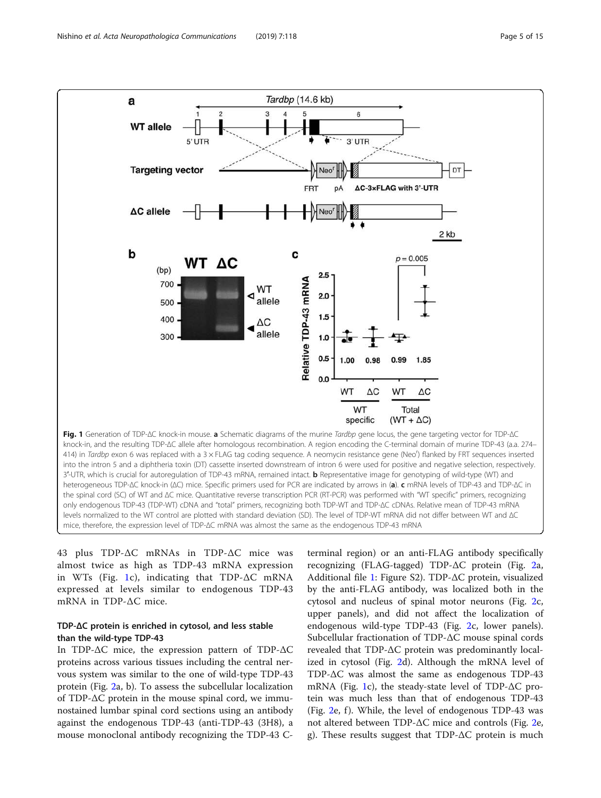<span id="page-4-0"></span>

only endogenous TDP-43 (TDP-WT) cDNA and "total" primers, recognizing both TDP-WT and TDP-∆C cDNAs. Relative mean of TDP-43 mRNA levels normalized to the WT control are plotted with standard deviation (SD). The level of TDP-WT mRNA did not differ between WT and ∆C mice, therefore, the expression level of TDP-∆C mRNA was almost the same as the endogenous TDP-43 mRNA

43 plus TDP-ΔC mRNAs in TDP-ΔC mice was almost twice as high as TDP-43 mRNA expression in WTs (Fig. 1c), indicating that TDP-ΔC mRNA expressed at levels similar to endogenous TDP-43 mRNA in TDP-ΔC mice.

# TDP-ΔC protein is enriched in cytosol, and less stable than the wild-type TDP-43

In TDP-ΔC mice, the expression pattern of TDP-ΔC proteins across various tissues including the central nervous system was similar to the one of wild-type TDP-43 protein (Fig. [2](#page-5-0)a, b). To assess the subcellular localization of TDP-ΔC protein in the mouse spinal cord, we immunostained lumbar spinal cord sections using an antibody against the endogenous TDP-43 (anti-TDP-43 (3H8), a mouse monoclonal antibody recognizing the TDP-43 C- terminal region) or an anti-FLAG antibody specifically recognizing (FLAG-tagged) TDP-ΔC protein (Fig. [2a](#page-5-0), Additional file [1:](#page-12-0) Figure S2). TDP-ΔC protein, visualized by the anti-FLAG antibody, was localized both in the cytosol and nucleus of spinal motor neurons (Fig. [2c](#page-5-0), upper panels), and did not affect the localization of endogenous wild-type TDP-43 (Fig. [2c](#page-5-0), lower panels). Subcellular fractionation of TDP-ΔC mouse spinal cords revealed that TDP-ΔC protein was predominantly localized in cytosol (Fig. [2d](#page-5-0)). Although the mRNA level of TDP-ΔC was almost the same as endogenous TDP-43 mRNA (Fig. 1c), the steady-state level of TDP-ΔC protein was much less than that of endogenous TDP-43 (Fig.  $2e$ , f). While, the level of endogenous TDP-43 was not altered between TDP-ΔC mice and controls (Fig. [2](#page-5-0)e, g). These results suggest that TDP-ΔC protein is much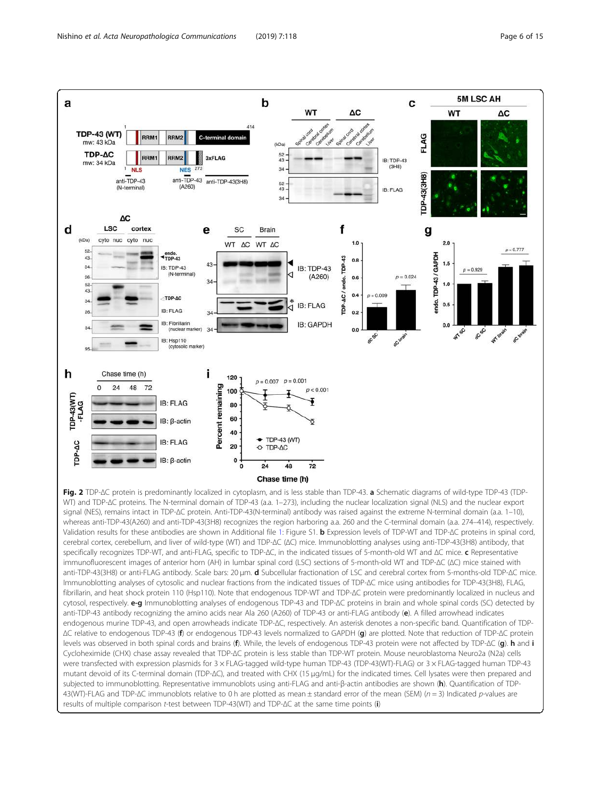$\Omega$  $24$ 48 72

TDP-43(WT)<br>-FLAG

9G

р.<br>Е

<span id="page-5-0"></span>

Fig. 2 TDP-∆C protein is predominantly localized in cytoplasm, and is less stable than TDP-43. a Schematic diagrams of wild-type TDP-43 (TDP-WT) and TDP-∆C proteins. The N-terminal domain of TDP-43 (a.a. 1–273), including the nuclear localization signal (NLS) and the nuclear export signal (NES), remains intact in TDP-∆C protein. Anti-TDP-43(N-terminal) antibody was raised against the extreme N-terminal domain (a.a. 1–10), whereas anti-TDP-43(A260) and anti-TDP-43(3H8) recognizes the region harboring a.a. 260 and the C-terminal domain (a.a. 274–414), respectively. Validation results for these antibodies are shown in Additional file [1:](#page-12-0) Figure S1. b Expression levels of TDP-WT and TDP-∆C proteins in spinal cord, cerebral cortex, cerebellum, and liver of wild-type (WT) and TDP-∆C (∆C) mice. Immunoblotting analyses using anti-TDP-43(3H8) antibody, that specifically recognizes TDP-WT, and anti-FLAG, specific to TDP-ΔC, in the indicated tissues of 5-month-old WT and ΔC mice. c Representative immunofluorescent images of anterior horn (AH) in lumbar spinal cord (LSC) sections of 5-month-old WT and TDP-∆C (∆C) mice stained with anti-TDP-43(3H8) or anti-FLAG antibody. Scale bars: 20 μm. d Subcellular fractionation of LSC and cerebral cortex from 5-months-old TDP-∆C mice. Immunoblotting analyses of cytosolic and nuclear fractions from the indicated tissues of TDP-∆C mice using antibodies for TDP-43(3H8), FLAG, fibrillarin, and heat shock protein 110 (Hsp110). Note that endogenous TDP-WT and TDP-∆C protein were predominantly localized in nucleus and cytosol, respectively. e-g Immunoblotting analyses of endogenous TDP-43 and TDP-∆C proteins in brain and whole spinal cords (SC) detected by anti-TDP-43 antibody recognizing the amino acids near Ala 260 (A260) of TDP-43 or anti-FLAG antibody (e). A filled arrowhead indicates endogenous murine TDP-43, and open arrowheads indicate TDP-∆C, respectively. An asterisk denotes a non-specific band. Quantification of TDP- ∆C relative to endogenous TDP-43 (f) or endogenous TDP-43 levels normalized to GAPDH (g) are plotted. Note that reduction of TDP-∆C protein levels was observed in both spinal cords and brains (f). While, the levels of endogenous TDP-43 protein were not affected by TDP-∆C (g). h and i Cycloheximide (CHX) chase assay revealed that TDP-∆C protein is less stable than TDP-WT protein. Mouse neuroblastoma Neuro2a (N2a) cells were transfected with expression plasmids for 3 × FLAG-tagged wild-type human TDP-43 (TDP-43(WT)-FLAG) or 3 × FLAG-tagged human TDP-43 mutant devoid of its C-terminal domain (TDP-∆C), and treated with CHX (15 μg/mL) for the indicated times. Cell lysates were then prepared and subjected to immunoblotting. Representative immunoblots using anti-FLAG and anti-β-actin antibodies are shown (h). Quantification of TDP-43(WT)-FLAG and TDP-∆C immunoblots relative to 0 h are plotted as mean ± standard error of the mean (SEM) (n = 3) Indicated p-values are results of multiple comparison t-test between TDP-43(WT) and TDP-∆C at the same time points (i)

 $p = 0.007$   $p = 0.001$ 

 $+$  TDP-43 (WT)

48 Chase time (h)

TDP-AC

 $\overline{24}$ 

 $p < 0.001$ 

 $\overline{12}$ 

Percent remaining

**IB: FLAG** 

IB: ß-actin

**IB: FLAG** 

 $IB: \beta$ -actin

100

80 60

40

20

 $\mathbf 0$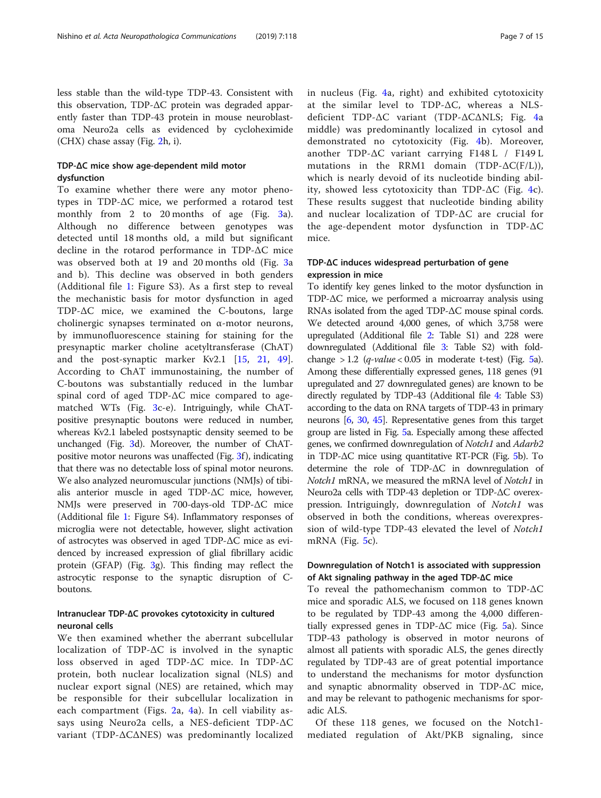less stable than the wild-type TDP-43. Consistent with this observation, TDP-ΔC protein was degraded apparently faster than TDP-43 protein in mouse neuroblastoma Neuro2a cells as evidenced by cycloheximide (CHX) chase assay (Fig. [2h](#page-5-0), i).

## TDP-ΔC mice show age-dependent mild motor dysfunction

To examine whether there were any motor phenotypes in TDP-ΔC mice, we performed a rotarod test monthly from 2 to 20 months of age (Fig. [3a](#page-7-0)). Although no difference between genotypes was detected until 18 months old, a mild but significant decline in the rotarod performance in TDP-ΔC mice was observed both at 19 and 20 months old (Fig. [3](#page-7-0)a and b). This decline was observed in both genders (Additional file [1](#page-12-0): Figure S3). As a first step to reveal the mechanistic basis for motor dysfunction in aged TDP-ΔC mice, we examined the C-boutons, large cholinergic synapses terminated on α-motor neurons, by immunofluorescence staining for staining for the presynaptic marker choline acetyltransferase (ChAT) and the post-synaptic marker Kv2.1 [\[15](#page-13-0), [21](#page-13-0), [49](#page-14-0)]. According to ChAT immunostaining, the number of C-boutons was substantially reduced in the lumbar spinal cord of aged TDP-ΔC mice compared to agematched WTs (Fig. [3](#page-7-0)c-e). Intriguingly, while ChATpositive presynaptic boutons were reduced in number, whereas Kv2.1 labeled postsynaptic density seemed to be unchanged (Fig. [3](#page-7-0)d). Moreover, the number of ChAT-positive motor neurons was unaffected (Fig. [3](#page-7-0)f), indicating that there was no detectable loss of spinal motor neurons. We also analyzed neuromuscular junctions (NMJs) of tibialis anterior muscle in aged TDP-ΔC mice, however, NMJs were preserved in 700-days-old TDP-ΔC mice (Additional file [1:](#page-12-0) Figure S4). Inflammatory responses of microglia were not detectable, however, slight activation of astrocytes was observed in aged TDP-ΔC mice as evidenced by increased expression of glial fibrillary acidic protein (GFAP) (Fig. [3g](#page-7-0)). This finding may reflect the astrocytic response to the synaptic disruption of Cboutons.

# Intranuclear TDP-∆C provokes cytotoxicity in cultured neuronal cells

We then examined whether the aberrant subcellular localization of TDP- $\Delta C$  is involved in the synaptic loss observed in aged TDP-ΔC mice. In TDP-ΔC protein, both nuclear localization signal (NLS) and nuclear export signal (NES) are retained, which may be responsible for their subcellular localization in each compartment (Figs. [2](#page-5-0)a, [4a](#page-8-0)). In cell viability assays using Neuro2a cells, a NES-deficient TDP-ΔC variant (TDP-ΔCΔNES) was predominantly localized in nucleus (Fig. [4a](#page-8-0), right) and exhibited cytotoxicity at the similar level to TDP-ΔC, whereas a NLSdeficient TDP-ΔC variant (TDP-ΔCΔNLS; Fig. [4](#page-8-0)a middle) was predominantly localized in cytosol and demonstrated no cytotoxicity (Fig. [4](#page-8-0)b). Moreover, another TDP-ΔC variant carrying F148 L / F149 L mutations in the RRM1 domain (TDP- $\Delta C(F/L)$ ), which is nearly devoid of its nucleotide binding ability, showed less cytotoxicity than TDP- $\Delta C$  (Fig. [4c](#page-8-0)). These results suggest that nucleotide binding ability and nuclear localization of TDP-ΔC are crucial for the age-dependent motor dysfunction in TDP-ΔC mice.

# TDP-ΔC induces widespread perturbation of gene expression in mice

To identify key genes linked to the motor dysfunction in TDP-ΔC mice, we performed a microarray analysis using RNAs isolated from the aged TDP-ΔC mouse spinal cords. We detected around 4,000 genes, of which 3,758 were upregulated (Additional file [2](#page-12-0): Table S1) and 228 were downregulated (Additional file [3](#page-12-0): Table S2) with foldchange  $> 1.2$  (q-value < 0.0[5](#page-9-0) in moderate t-test) (Fig. 5a). Among these differentially expressed genes, 118 genes (91 upregulated and 27 downregulated genes) are known to be directly regulated by TDP-43 (Additional file [4:](#page-12-0) Table S3) according to the data on RNA targets of TDP-43 in primary neurons [[6](#page-12-0), [30,](#page-13-0) [45](#page-13-0)]. Representative genes from this target group are listed in Fig. [5](#page-9-0)a. Especially among these affected genes, we confirmed downregulation of Notch1 and Adarb2 in TDP-ΔC mice using quantitative RT-PCR (Fig. [5](#page-9-0)b). To determine the role of TDP-ΔC in downregulation of Notch1 mRNA, we measured the mRNA level of Notch1 in Neuro2a cells with TDP-43 depletion or TDP-ΔC overexpression. Intriguingly, downregulation of Notch1 was observed in both the conditions, whereas overexpression of wild-type TDP-43 elevated the level of Notch1 mRNA (Fig. [5c](#page-9-0)).

## Downregulation of Notch1 is associated with suppression of Akt signaling pathway in the aged TDP-∆C mice

To reveal the pathomechanism common to TDP-ΔC mice and sporadic ALS, we focused on 118 genes known to be regulated by TDP-43 among the 4,000 differentially expressed genes in TDP-ΔC mice (Fig. [5a](#page-9-0)). Since TDP-43 pathology is observed in motor neurons of almost all patients with sporadic ALS, the genes directly regulated by TDP-43 are of great potential importance to understand the mechanisms for motor dysfunction and synaptic abnormality observed in TDP-ΔC mice, and may be relevant to pathogenic mechanisms for sporadic ALS.

Of these 118 genes, we focused on the Notch1 mediated regulation of Akt/PKB signaling, since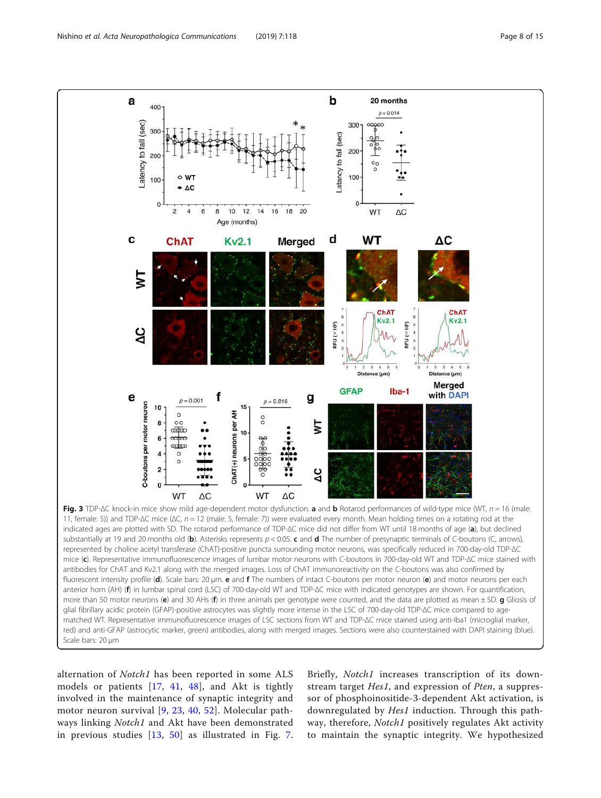<span id="page-7-0"></span>

alternation of Notch1 has been reported in some ALS models or patients [\[17,](#page-13-0) [41,](#page-13-0) [48](#page-14-0)], and Akt is tightly involved in the maintenance of synaptic integrity and motor neuron survival [[9,](#page-12-0) [23,](#page-13-0) [40,](#page-13-0) [52](#page-14-0)]. Molecular pathways linking *Notch1* and Akt have been demonstrated in previous studies [[13](#page-13-0), [50](#page-14-0)] as illustrated in Fig. [7](#page-11-0). Briefly, *Notch1* increases transcription of its downstream target Hes1, and expression of Pten, a suppressor of phosphoinositide-3-dependent Akt activation, is downregulated by Hes1 induction. Through this pathway, therefore, *Notch1* positively regulates Akt activity to maintain the synaptic integrity. We hypothesized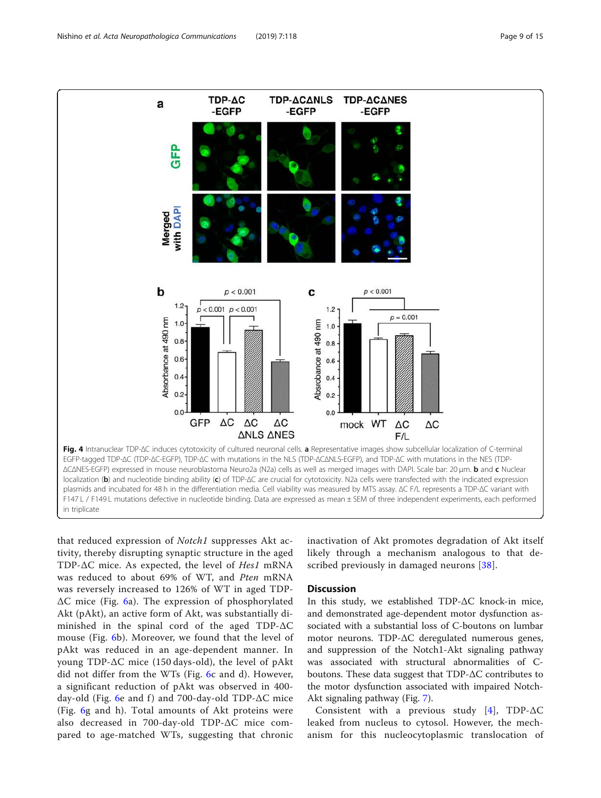<span id="page-8-0"></span>

that reduced expression of Notch1 suppresses Akt activity, thereby disrupting synaptic structure in the aged TDP-ΔC mice. As expected, the level of Hes1 mRNA was reduced to about 69% of WT, and Pten mRNA was reversely increased to 126% of WT in aged TDP-ΔC mice (Fig. [6](#page-10-0)a). The expression of phosphorylated Akt (pAkt), an active form of Akt, was substantially diminished in the spinal cord of the aged TDP-ΔC mouse (Fig. [6b](#page-10-0)). Moreover, we found that the level of pAkt was reduced in an age-dependent manner. In young TDP-ΔC mice (150 days-old), the level of pAkt did not differ from the WTs (Fig. [6](#page-10-0)c and d). However, a significant reduction of pAkt was observed in 400- day-old (Fig. [6e](#page-10-0) and f) and 700-day-old TDP- $\Delta C$  mice (Fig. [6g](#page-10-0) and h). Total amounts of Akt proteins were also decreased in 700-day-old TDP-ΔC mice compared to age-matched WTs, suggesting that chronic

inactivation of Akt promotes degradation of Akt itself likely through a mechanism analogous to that de-scribed previously in damaged neurons [\[38\]](#page-13-0).

## **Discussion**

In this study, we established TDP-ΔC knock-in mice, and demonstrated age-dependent motor dysfunction associated with a substantial loss of C-boutons on lumbar motor neurons. TDP-ΔC deregulated numerous genes, and suppression of the Notch1-Akt signaling pathway was associated with structural abnormalities of Cboutons. These data suggest that TDP-ΔC contributes to the motor dysfunction associated with impaired Notch-Akt signaling pathway (Fig. [7](#page-11-0)).

Consistent with a previous study [\[4\]](#page-12-0), TDP- $\Delta C$ leaked from nucleus to cytosol. However, the mechanism for this nucleocytoplasmic translocation of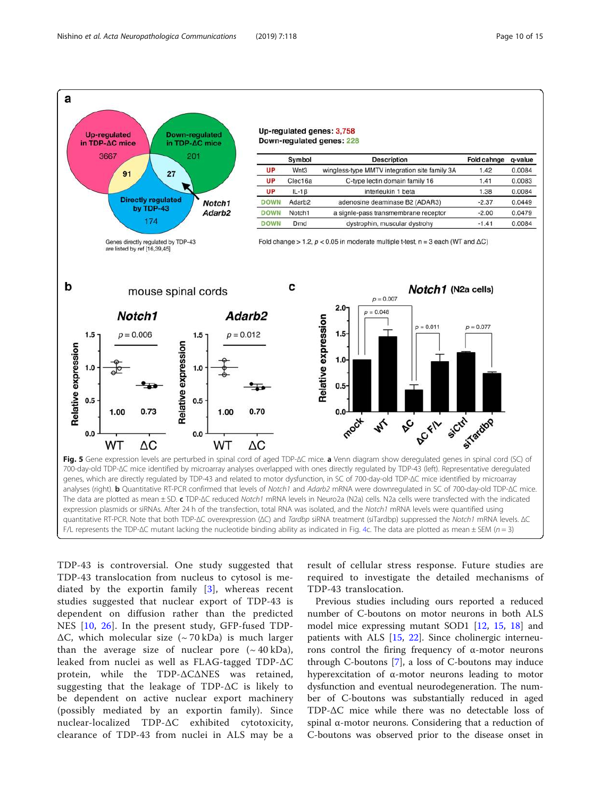<span id="page-9-0"></span>

TDP-43 is controversial. One study suggested that TDP-43 translocation from nucleus to cytosol is mediated by the exportin family [\[3\]](#page-12-0), whereas recent studies suggested that nuclear export of TDP-43 is dependent on diffusion rather than the predicted NES [\[10](#page-12-0), [26](#page-13-0)]. In the present study, GFP-fused TDP- $\Delta C$ , which molecular size (~70 kDa) is much larger than the average size of nuclear pore  $({\sim}40 \text{ kDa})$ , leaked from nuclei as well as FLAG-tagged TDP-ΔC protein, while the TDP-ΔCΔNES was retained, suggesting that the leakage of TDP-ΔC is likely to be dependent on active nuclear export machinery (possibly mediated by an exportin family). Since nuclear-localized TDP-ΔC exhibited cytotoxicity, clearance of TDP-43 from nuclei in ALS may be a result of cellular stress response. Future studies are required to investigate the detailed mechanisms of TDP-43 translocation.

Previous studies including ours reported a reduced number of C-boutons on motor neurons in both ALS model mice expressing mutant SOD1 [[12,](#page-13-0) [15](#page-13-0), [18\]](#page-13-0) and patients with ALS [[15,](#page-13-0) [22](#page-13-0)]. Since cholinergic interneurons control the firing frequency of α-motor neurons through C-boutons [\[7](#page-12-0)], a loss of C-boutons may induce hyperexcitation of α-motor neurons leading to motor dysfunction and eventual neurodegeneration. The number of C-boutons was substantially reduced in aged TDP-ΔC mice while there was no detectable loss of spinal α-motor neurons. Considering that a reduction of C-boutons was observed prior to the disease onset in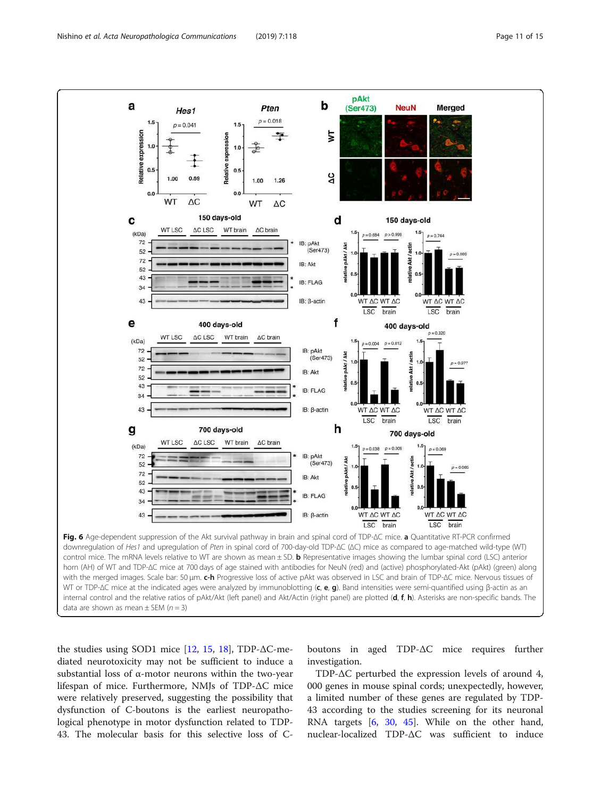<span id="page-10-0"></span>

data are shown as mean  $\pm$  SEM ( $n = 3$ )

the studies using SOD1 mice  $[12, 15, 18]$  $[12, 15, 18]$  $[12, 15, 18]$  $[12, 15, 18]$  $[12, 15, 18]$  $[12, 15, 18]$ , TDP- $\Delta$ C-mediated neurotoxicity may not be sufficient to induce a substantial loss of  $\alpha$ -motor neurons within the two-year lifespan of mice. Furthermore, NMJs of TDP-ΔC mice were relatively preserved, suggesting the possibility that dysfunction of C-boutons is the earliest neuropathological phenotype in motor dysfunction related to TDP-43. The molecular basis for this selective loss of C-

boutons in aged TDP-ΔC mice requires further investigation.

TDP-ΔC perturbed the expression levels of around 4, 000 genes in mouse spinal cords; unexpectedly, however, a limited number of these genes are regulated by TDP-43 according to the studies screening for its neuronal RNA targets [\[6](#page-12-0), [30](#page-13-0), [45\]](#page-13-0). While on the other hand, nuclear-localized TDP-ΔC was sufficient to induce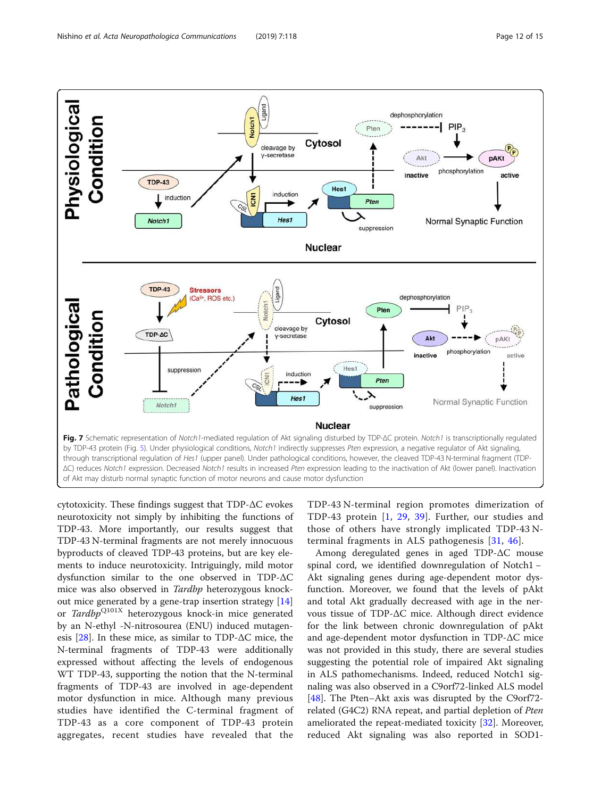<span id="page-11-0"></span>

cytotoxicity. These findings suggest that TDP-ΔC evokes neurotoxicity not simply by inhibiting the functions of TDP-43. More importantly, our results suggest that TDP-43 N-terminal fragments are not merely innocuous byproducts of cleaved TDP-43 proteins, but are key elements to induce neurotoxicity. Intriguingly, mild motor dysfunction similar to the one observed in TDP-ΔC mice was also observed in Tardbp heterozygous knockout mice generated by a gene-trap insertion strategy [[14](#page-13-0)] or Tardbp<sup>Q101X</sup> heterozygous knock-in mice generated by an N-ethyl -N-nitrosourea (ENU) induced mutagenesis  $[28]$  $[28]$ . In these mice, as similar to TDP- $\Delta C$  mice, the N-terminal fragments of TDP-43 were additionally expressed without affecting the levels of endogenous WT TDP-43, supporting the notion that the N-terminal fragments of TDP-43 are involved in age-dependent motor dysfunction in mice. Although many previous studies have identified the C-terminal fragment of TDP-43 as a core component of TDP-43 protein aggregates, recent studies have revealed that the

TDP-43 N-terminal region promotes dimerization of TDP-43 protein [[1,](#page-12-0) [29](#page-13-0), [39](#page-13-0)]. Further, our studies and those of others have strongly implicated TDP-43 Nterminal fragments in ALS pathogenesis [[31](#page-13-0), [46\]](#page-13-0).

Among deregulated genes in aged TDP-ΔC mouse spinal cord, we identified downregulation of Notch1 − Akt signaling genes during age-dependent motor dysfunction. Moreover, we found that the levels of pAkt and total Akt gradually decreased with age in the nervous tissue of TDP-ΔC mice. Although direct evidence for the link between chronic downregulation of pAkt and age-dependent motor dysfunction in TDP-ΔC mice was not provided in this study, there are several studies suggesting the potential role of impaired Akt signaling in ALS pathomechanisms. Indeed, reduced Notch1 signaling was also observed in a C9orf72-linked ALS model [[48\]](#page-14-0). The Pten−Akt axis was disrupted by the C9orf72 related (G4C2) RNA repeat, and partial depletion of Pten ameliorated the repeat-mediated toxicity [[32](#page-13-0)]. Moreover, reduced Akt signaling was also reported in SOD1-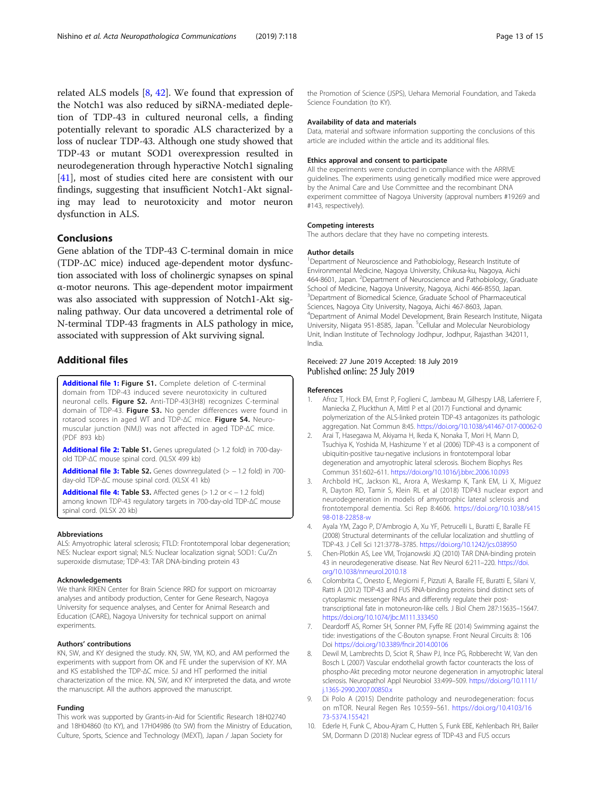<span id="page-12-0"></span>related ALS models [8, [42](#page-13-0)]. We found that expression of the Notch1 was also reduced by siRNA-mediated depletion of TDP-43 in cultured neuronal cells, a finding potentially relevant to sporadic ALS characterized by a loss of nuclear TDP-43. Although one study showed that TDP-43 or mutant SOD1 overexpression resulted in neurodegeneration through hyperactive Notch1 signaling [[41\]](#page-13-0), most of studies cited here are consistent with our findings, suggesting that insufficient Notch1-Akt signaling may lead to neurotoxicity and motor neuron dysfunction in ALS.

## Conclusions

Gene ablation of the TDP-43 C-terminal domain in mice (TDP-ΔC mice) induced age-dependent motor dysfunction associated with loss of cholinergic synapses on spinal α-motor neurons. This age-dependent motor impairment was also associated with suppression of Notch1-Akt signaling pathway. Our data uncovered a detrimental role of N-terminal TDP-43 fragments in ALS pathology in mice, associated with suppression of Akt surviving signal.

## Additional files

[Additional file 1:](https://doi.org/10.1186/s40478-019-0776-5) Figure S1. Complete deletion of C-terminal domain from TDP-43 induced severe neurotoxicity in cultured neuronal cells. Figure S2. Anti-TDP-43(3H8) recognizes C-terminal domain of TDP-43. Figure S3. No gender differences were found in rotarod scores in aged WT and TDP-∆C mice. Figure S4. Neuromuscular junction (NMJ) was not affected in aged TDP-∆C mice. (PDF 893 kb)

[Additional file 2:](https://doi.org/10.1186/s40478-019-0776-5) Table S1. Genes upregulated (> 1.2 fold) in 700-dayold TDP-∆C mouse spinal cord. (XLSX 499 kb)

[Additional file 3:](https://doi.org/10.1186/s40478-019-0776-5) Table S2. Genes downregulated (> − 1.2 fold) in 700day-old TDP-∆C mouse spinal cord. (XLSX 41 kb)

[Additional file 4:](https://doi.org/10.1186/s40478-019-0776-5) Table S3. Affected genes (> 1.2 or < − 1.2 fold) among known TDP-43 regulatory targets in 700-day-old TDP-∆C mouse spinal cord. (XLSX 20 kb)

#### Abbreviations

ALS: Amyotrophic lateral sclerosis; FTLD: Frontotemporal lobar degeneration; NES: Nuclear export signal; NLS: Nuclear localization signal; SOD1: Cu/Zn superoxide dismutase; TDP-43: TAR DNA-binding protein 43

#### Acknowledgements

We thank RIKEN Center for Brain Science RRD for support on microarray analyses and antibody production, Center for Gene Research, Nagoya University for sequence analyses, and Center for Animal Research and Education (CARE), Nagoya University for technical support on animal experiments.

#### Authors' contributions

KN, SW, and KY designed the study. KN, SW, YM, KO, and AM performed the experiments with support from OK and FE under the supervision of KY. MA and KS established the TDP-∆C mice. SJ and HT performed the initial characterization of the mice. KN, SW, and KY interpreted the data, and wrote the manuscript. All the authors approved the manuscript.

#### Funding

This work was supported by Grants-in-Aid for Scientific Research 18H02740 and 18H04860 (to KY), and 17H04986 (to SW) from the Ministry of Education, Culture, Sports, Science and Technology (MEXT), Japan / Japan Society for

the Promotion of Science (JSPS), Uehara Memorial Foundation, and Takeda Science Foundation (to KY).

#### Availability of data and materials

Data, material and software information supporting the conclusions of this article are included within the article and its additional files.

#### Ethics approval and consent to participate

All the experiments were conducted in compliance with the ARRIVE guidelines. The experiments using genetically modified mice were approved by the Animal Care and Use Committee and the recombinant DNA experiment committee of Nagoya University (approval numbers #19269 and #143, respectively).

#### Competing interests

The authors declare that they have no competing interests.

#### Author details

<sup>1</sup>Department of Neuroscience and Pathobiology, Research Institute of Environmental Medicine, Nagoya University, Chikusa-ku, Nagoya, Aichi 464-8601, Japan. <sup>2</sup>Department of Neuroscience and Pathobiology, Graduate School of Medicine, Nagoya University, Nagoya, Aichi 466-8550, Japan. <sup>3</sup>Department of Biomedical Science, Graduate School of Pharmaceutical Sciences, Nagoya City University, Nagoya, Aichi 467-8603, Japan. <sup>4</sup>Department of Animal Model Development, Brain Research Institute, Niigata University, Niigata 951-8585, Japan. <sup>5</sup>Cellular and Molecular Neurobiology Unit, Indian Institute of Technology Jodhpur, Jodhpur, Rajasthan 342011, India.

## Received: 27 June 2019 Accepted: 18 July 2019 Published online: 25 July 2019

#### References

- 1. Afroz T, Hock EM, Ernst P, Foglieni C, Jambeau M, Gilhespy LAB, Laferriere F, Maniecka Z, Pluckthun A, Mittl P et al (2017) Functional and dynamic polymerization of the ALS-linked protein TDP-43 antagonizes its pathologic aggregation. Nat Commun 8:45. <https://doi.org/10.1038/s41467-017-00062-0>
- 2. Arai T, Hasegawa M, Akiyama H, Ikeda K, Nonaka T, Mori H, Mann D, Tsuchiya K, Yoshida M, Hashizume Y et al (2006) TDP-43 is a component of ubiquitin-positive tau-negative inclusions in frontotemporal lobar degeneration and amyotrophic lateral sclerosis. Biochem Biophys Res Commun 351:602–611. <https://doi.org/10.1016/j.bbrc.2006.10.093>
- 3. Archbold HC, Jackson KL, Arora A, Weskamp K, Tank EM, Li X, Miguez R, Dayton RD, Tamir S, Klein RL et al (2018) TDP43 nuclear export and neurodegeneration in models of amyotrophic lateral sclerosis and frontotemporal dementia. Sci Rep 8:4606. [https://doi.org/10.1038/s415](https://doi.org/10.1038/s41598-018-22858-w) [98-018-22858-w](https://doi.org/10.1038/s41598-018-22858-w)
- 4. Ayala YM, Zago P, D'Ambrogio A, Xu YF, Petrucelli L, Buratti E, Baralle FE (2008) Structural determinants of the cellular localization and shuttling of TDP-43. J Cell Sci 121:3778–3785. <https://doi.org/10.1242/jcs.038950>
- 5. Chen-Plotkin AS, Lee VM, Trojanowski JQ (2010) TAR DNA-binding protein 43 in neurodegenerative disease. Nat Rev Neurol 6:211–220. [https://doi.](https://doi.org/10.1038/nrneurol.2010.18) [org/10.1038/nrneurol.2010.18](https://doi.org/10.1038/nrneurol.2010.18)
- 6. Colombrita C, Onesto E, Megiorni F, Pizzuti A, Baralle FE, Buratti E, Silani V, Ratti A (2012) TDP-43 and FUS RNA-binding proteins bind distinct sets of cytoplasmic messenger RNAs and differently regulate their posttranscriptional fate in motoneuron-like cells. J Biol Chem 287:15635–15647. <https://doi.org/10.1074/jbc.M111.333450>
- 7. Deardorff AS, Romer SH, Sonner PM, Fyffe RE (2014) Swimming against the tide: investigations of the C-Bouton synapse. Front Neural Circuits 8: 106 Doi <https://doi.org/10.3389/fncir.2014.00106>
- Dewil M, Lambrechts D, Sciot R, Shaw PJ, Ince PG, Robberecht W, Van den Bosch L (2007) Vascular endothelial growth factor counteracts the loss of phospho-Akt preceding motor neurone degeneration in amyotrophic lateral sclerosis. Neuropathol Appl Neurobiol 33:499–509. [https://doi.org/10.1111/](https://doi.org/10.1111/j.1365-2990.2007.00850.x) [j.1365-2990.2007.00850.x](https://doi.org/10.1111/j.1365-2990.2007.00850.x)
- 9. Di Polo A (2015) Dendrite pathology and neurodegeneration: focus on mTOR. Neural Regen Res 10:559–561. [https://doi.org/10.4103/16](https://doi.org/10.4103/1673-5374.155421) [73-5374.155421](https://doi.org/10.4103/1673-5374.155421)
- 10. Ederle H, Funk C, Abou-Ajram C, Hutten S, Funk EBE, Kehlenbach RH, Bailer SM, Dormann D (2018) Nuclear egress of TDP-43 and FUS occurs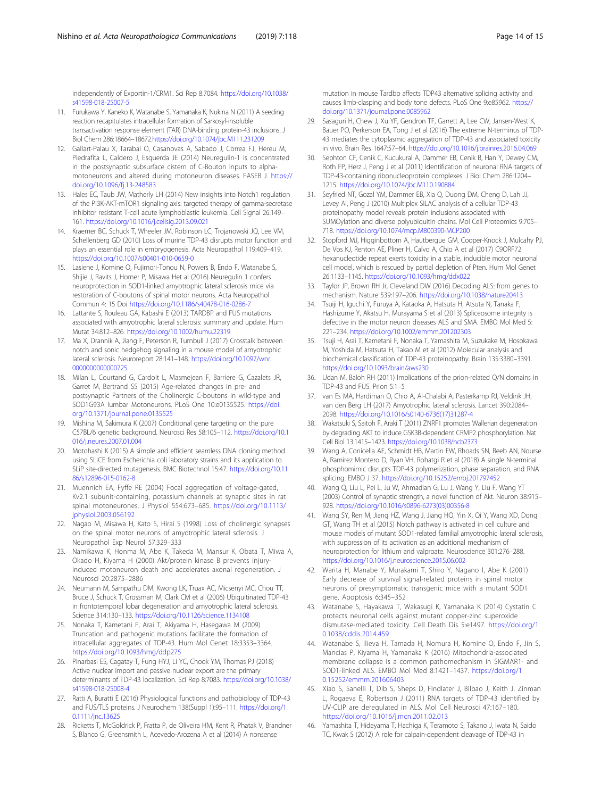<span id="page-13-0"></span>independently of Exportin-1/CRM1. Sci Rep 8:7084. [https://doi.org/10.1038/](https://doi.org/10.1038/s41598-018-25007-5) [s41598-018-25007-5](https://doi.org/10.1038/s41598-018-25007-5)

- 11. Furukawa Y, Kaneko K, Watanabe S, Yamanaka K, Nukina N (2011) A seeding reaction recapitulates intracellular formation of Sarkosyl-insoluble transactivation response element (TAR) DNA-binding protein-43 inclusions. J Biol Chem 286:18664–18672[.https://doi.org/10.1074/jbc.M111.231209](https://doi.org/10.1074/jbc.M111.231209)
- 12. Gallart-Palau X, Tarabal O, Casanovas A, Sabado J, Correa FJ, Hereu M, Piedrafita L, Caldero J, Esquerda JE (2014) Neuregulin-1 is concentrated in the postsynaptic subsurface cistern of C-Bouton inputs to alphamotoneurons and altered during motoneuron diseases. FASEB J. [https://](https://doi.org/10.1096/fj.13-248583) [doi.org/10.1096/fj.13-248583](https://doi.org/10.1096/fj.13-248583)
- 13. Hales EC, Taub JW, Matherly LH (2014) New insights into Notch1 regulation of the PI3K-AKT-mTOR1 signaling axis: targeted therapy of gamma-secretase inhibitor resistant T-cell acute lymphoblastic leukemia. Cell Signal 26:149– 161. <https://doi.org/10.1016/j.cellsig.2013.09.021>
- 14. Kraemer BC, Schuck T, Wheeler JM, Robinson LC, Trojanowski JQ, Lee VM, Schellenberg GD (2010) Loss of murine TDP-43 disrupts motor function and plays an essential role in embryogenesis. Acta Neuropathol 119:409–419. <https://doi.org/10.1007/s00401-010-0659-0>
- 15. Lasiene J, Komine O, Fujimori-Tonou N, Powers B, Endo F, Watanabe S, Shijie J, Ravits J, Horner P, Misawa Het al (2016) Neuregulin 1 confers neuroprotection in SOD1-linked amyotrophic lateral sclerosis mice via restoration of C-boutons of spinal motor neurons. Acta Neuropathol Commun 4: 15 Doi <https://doi.org/10.1186/s40478-016-0286-7>
- 16. Lattante S, Rouleau GA, Kabashi E (2013) TARDBP and FUS mutations associated with amyotrophic lateral sclerosis: summary and update. Hum Mutat 34:812–826. <https://doi.org/10.1002/humu.22319>
- 17. Ma X, Drannik A, Jiang F, Peterson R, Turnbull J (2017) Crosstalk between notch and sonic hedgehog signaling in a mouse model of amyotrophic lateral sclerosis. Neuroreport 28:141–148. [https://doi.org/10.1097/wnr.](https://doi.org/10.1097/wnr.0000000000000725) [0000000000000725](https://doi.org/10.1097/wnr.0000000000000725)
- 18. Milan L, Courtand G, Cardoit L, Masmejean F, Barriere G, Cazalets JR, Garret M, Bertrand SS (2015) Age-related changes in pre- and postsynaptic Partners of the Cholinergic C-boutons in wild-type and SOD1G93A lumbar Motoneurons. PLoS One 10:e0135525. [https://doi.](https://doi.org/10.1371/journal.pone.0135525) [org/10.1371/journal.pone.0135525](https://doi.org/10.1371/journal.pone.0135525)
- 19. Mishina M, Sakimura K (2007) Conditional gene targeting on the pure C57BL/6 genetic background. Neurosci Res 58:105–112. [https://doi.org/10.1](https://doi.org/10.1016/j.neures.2007.01.004) [016/j.neures.2007.01.004](https://doi.org/10.1016/j.neures.2007.01.004)
- 20. Motohashi K (2015) A simple and efficient seamless DNA cloning method using SLiCE from Escherichia coli laboratory strains and its application to SLiP site-directed mutagenesis. BMC Biotechnol 15:47. [https://doi.org/10.11](https://doi.org/10.1186/s12896-015-0162-8) [86/s12896-015-0162-8](https://doi.org/10.1186/s12896-015-0162-8)
- 21. Muennich EA, Fyffe RE (2004) Focal aggregation of voltage-gated, Kv2.1 subunit-containing, potassium channels at synaptic sites in rat spinal motoneurones. J Physiol 554:673–685. [https://doi.org/10.1113/](https://doi.org/10.1113/jphysiol.2003.056192) [jphysiol.2003.056192](https://doi.org/10.1113/jphysiol.2003.056192)
- 22. Nagao M, Misawa H, Kato S, Hirai S (1998) Loss of cholinergic synapses on the spinal motor neurons of amyotrophic lateral sclerosis. J Neuropathol Exp Neurol 57:329–333
- 23. Namikawa K, Honma M, Abe K, Takeda M, Mansur K, Obata T, Miwa A, Okado H, Kiyama H (2000) Akt/protein kinase B prevents injuryinduced motoneuron death and accelerates axonal regeneration. J Neurosci 20:2875–2886
- 24. Neumann M, Sampathu DM, Kwong LK, Truax AC, Micsenyi MC, Chou TT, Bruce J, Schuck T, Grossman M, Clark CM et al (2006) Ubiquitinated TDP-43 in frontotemporal lobar degeneration and amyotrophic lateral sclerosis. Science 314:130–133. <https://doi.org/10.1126/science.1134108>
- 25. Nonaka T, Kametani F, Arai T, Akiyama H, Hasegawa M (2009) Truncation and pathogenic mutations facilitate the formation of intracellular aggregates of TDP-43. Hum Mol Genet 18:3353–3364. <https://doi.org/10.1093/hmg/ddp275>
- 26. Pinarbasi ES, Cagatay T, Fung HYJ, Li YC, Chook YM, Thomas PJ (2018) Active nuclear import and passive nuclear export are the primary determinants of TDP-43 localization. Sci Rep 8:7083. [https://doi.org/10.1038/](https://doi.org/10.1038/s41598-018-25008-4) [s41598-018-25008-4](https://doi.org/10.1038/s41598-018-25008-4)
- 27. Ratti A, Buratti E (2016) Physiological functions and pathobiology of TDP-43 and FUS/TLS proteins. J Neurochem 138(Suppl 1):95–111. [https://doi.org/1](https://doi.org/10.1111/jnc.13625) [0.1111/jnc.13625](https://doi.org/10.1111/jnc.13625)
- 28. Ricketts T, McGoldrick P, Fratta P, de Oliveira HM, Kent R, Phatak V, Brandner S, Blanco G, Greensmith L, Acevedo-Arozena A et al (2014) A nonsense

mutation in mouse Tardbp affects TDP43 alternative splicing activity and causes limb-clasping and body tone defects. PLoS One 9:e85962. [https://](https://doi.org/10.1371/journal.pone.0085962) [doi.org/10.1371/journal.pone.0085962](https://doi.org/10.1371/journal.pone.0085962)

- 29. Sasaguri H, Chew J, Xu YF, Gendron TF, Garrett A, Lee CW, Jansen-West K, Bauer PO, Perkerson EA, Tong J et al (2016) The extreme N-terminus of TDP-43 mediates the cytoplasmic aggregation of TDP-43 and associated toxicity in vivo. Brain Res 1647:57–64. <https://doi.org/10.1016/j.brainres.2016.04.069>
- 30. Sephton CF, Cenik C, Kucukural A, Dammer EB, Cenik B, Han Y, Dewey CM, Roth FP, Herz J, Peng J et al (2011) Identification of neuronal RNA targets of TDP-43-containing ribonucleoprotein complexes. J Biol Chem 286:1204– 1215. <https://doi.org/10.1074/jbc.M110.190884>
- 31. Seyfried NT, Gozal YM, Dammer EB, Xia Q, Duong DM, Cheng D, Lah JJ, Levey AI, Peng J (2010) Multiplex SILAC analysis of a cellular TDP-43 proteinopathy model reveals protein inclusions associated with SUMOylation and diverse polyubiquitin chains. Mol Cell Proteomics 9:705– 718. <https://doi.org/10.1074/mcp.M800390-MCP200>
- 32. Stopford MJ, Higginbottom A, Hautbergue GM, Cooper-Knock J, Mulcahy PJ, De Vos KJ, Renton AE, Pliner H, Calvo A, Chio A et al (2017) C9ORF72 hexanucleotide repeat exerts toxicity in a stable, inducible motor neuronal cell model, which is rescued by partial depletion of Pten. Hum Mol Genet 26:1133–1145. <https://doi.org/10.1093/hmg/ddx022>
- 33. Taylor JP, Brown RH Jr, Cleveland DW (2016) Decoding ALS: from genes to mechanism. Nature 539:197–206. <https://doi.org/10.1038/nature20413>
- 34. Tsuiji H, Iguchi Y, Furuya A, Kataoka A, Hatsuta H, Atsuta N, Tanaka F, Hashizume Y, Akatsu H, Murayama S et al (2013) Spliceosome integrity is defective in the motor neuron diseases ALS and SMA. EMBO Mol Med 5: 221–234. <https://doi.org/10.1002/emmm.201202303>
- 35. Tsuji H, Arai T, Kametani F, Nonaka T, Yamashita M, Suzukake M, Hosokawa M, Yoshida M, Hatsuta H, Takao M et al (2012) Molecular analysis and biochemical classification of TDP-43 proteinopathy. Brain 135:3380–3391. <https://doi.org/10.1093/brain/aws230>
- 36. Udan M, Baloh RH (2011) Implications of the prion-related Q/N domains in TDP-43 and FUS. Prion 5:1–5
- 37. van Es MA, Hardiman O, Chio A, Al-Chalabi A, Pasterkamp RJ, Veldink JH, van den Berg LH (2017) Amyotrophic lateral sclerosis. Lancet 390:2084– 2098. [https://doi.org/10.1016/s0140-6736\(17\)31287-4](https://doi.org/10.1016/s0140-6736(17)31287-4)
- 38. Wakatsuki S, Saitoh F, Araki T (2011) ZNRF1 promotes Wallerian degeneration by degrading AKT to induce GSK3B-dependent CRMP2 phosphorylation. Nat Cell Biol 13:1415–1423. <https://doi.org/10.1038/ncb2373>
- 39. Wang A, Conicella AE, Schmidt HB, Martin EW, Rhoads SN, Reeb AN, Nourse A, Ramirez Montero D, Ryan VH, Rohatgi R et al (2018) A single N-terminal phosphomimic disrupts TDP-43 polymerization, phase separation, and RNA splicing. EMBO J 37. <https://doi.org/10.15252/embj.201797452>
- 40. Wang Q, Liu L, Pei L, Ju W, Ahmadian G, Lu J, Wang Y, Liu F, Wang YT (2003) Control of synaptic strength, a novel function of Akt. Neuron 38:915– 928. [https://doi.org/10.1016/s0896-6273\(03\)00356-8](https://doi.org/10.1016/s0896-6273(03)00356-8)
- 41. Wang SY, Ren M, Jiang HZ, Wang J, Jiang HQ, Yin X, Qi Y, Wang XD, Dong GT, Wang TH et al (2015) Notch pathway is activated in cell culture and mouse models of mutant SOD1-related familial amyotrophic lateral sclerosis, with suppression of its activation as an additional mechanism of neuroprotection for lithium and valproate. Neuroscience 301:276–288. <https://doi.org/10.1016/j.neuroscience.2015.06.002>
- 42. Warita H, Manabe Y, Murakami T, Shiro Y, Nagano I, Abe K (2001) Early decrease of survival signal-related proteins in spinal motor neurons of presymptomatic transgenic mice with a mutant SOD1 gene. Apoptosis 6:345–352
- 43. Watanabe S, Hayakawa T, Wakasugi K, Yamanaka K (2014) Cystatin C protects neuronal cells against mutant copper-zinc superoxide dismutase-mediated toxicity. Cell Death Dis 5:e1497. [https://doi.org/1](https://doi.org/10.1038/cddis.2014.459) [0.1038/cddis.2014.459](https://doi.org/10.1038/cddis.2014.459)
- 44. Watanabe S, Ilieva H, Tamada H, Nomura H, Komine O, Endo F, Jin S, Mancias P, Kiyama H, Yamanaka K (2016) Mitochondria-associated membrane collapse is a common pathomechanism in SIGMAR1- and SOD1-linked ALS. EMBO Mol Med 8:1421–1437. [https://doi.org/1](https://doi.org/10.15252/emmm.201606403) [0.15252/emmm.201606403](https://doi.org/10.15252/emmm.201606403)
- 45. Xiao S, Sanelli T, Dib S, Sheps D, Findlater J, Bilbao J, Keith J, Zinman L, Rogaeva E, Robertson J (2011) RNA targets of TDP-43 identified by UV-CLIP are deregulated in ALS. Mol Cell Neurosci 47:167–180. <https://doi.org/10.1016/j.mcn.2011.02.013>
- 46. Yamashita T, Hideyama T, Hachiga K, Teramoto S, Takano J, Iwata N, Saido TC, Kwak S (2012) A role for calpain-dependent cleavage of TDP-43 in